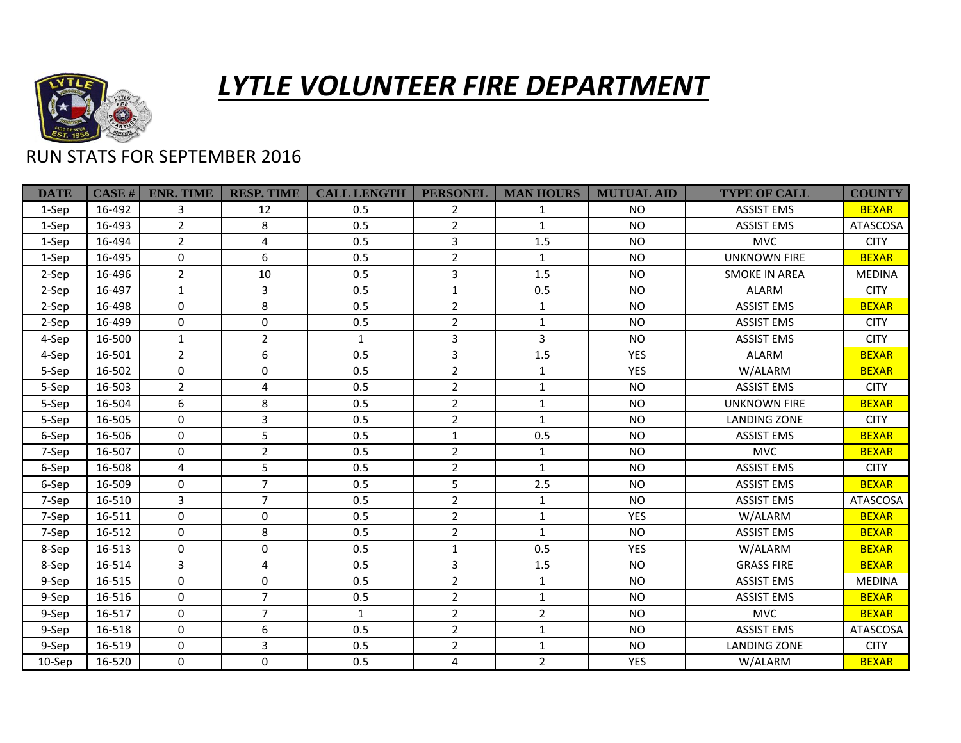

## *LYTLE VOLUNTEER FIRE DEPARTMENT*

## RUN STATS FOR SEPTEMBER 2016

| <b>DATE</b> | CASE H | <b>ENR. TIME</b> | <b>RESP. TIME</b> | <b>CALL LENGTH</b> | <b>PERSONEL</b> | <b>MAN HOURS</b> | <b>MUTUAL AID</b> | <b>TYPE OF CALL</b>  | <b>COUNTY</b>   |
|-------------|--------|------------------|-------------------|--------------------|-----------------|------------------|-------------------|----------------------|-----------------|
| 1-Sep       | 16-492 | 3                | 12                | 0.5                | 2               | $\mathbf{1}$     | <b>NO</b>         | <b>ASSIST EMS</b>    | <b>BEXAR</b>    |
| 1-Sep       | 16-493 | $\overline{2}$   | 8                 | 0.5                | $\overline{2}$  | $\mathbf{1}$     | <b>NO</b>         | <b>ASSIST EMS</b>    | <b>ATASCOSA</b> |
| 1-Sep       | 16-494 | $\overline{2}$   | 4                 | 0.5                | 3               | 1.5              | <b>NO</b>         | <b>MVC</b>           | <b>CITY</b>     |
| 1-Sep       | 16-495 | $\mathbf 0$      | 6                 | 0.5                | $\overline{2}$  | $\mathbf{1}$     | <b>NO</b>         | <b>UNKNOWN FIRE</b>  | <b>BEXAR</b>    |
| 2-Sep       | 16-496 | $\overline{2}$   | 10                | 0.5                | 3               | 1.5              | <b>NO</b>         | <b>SMOKE IN AREA</b> | <b>MEDINA</b>   |
| 2-Sep       | 16-497 | $\mathbf{1}$     | 3                 | 0.5                | $\mathbf{1}$    | 0.5              | <b>NO</b>         | ALARM                | <b>CITY</b>     |
| 2-Sep       | 16-498 | $\Omega$         | 8                 | 0.5                | $\overline{2}$  | $\mathbf{1}$     | <b>NO</b>         | <b>ASSIST EMS</b>    | <b>BEXAR</b>    |
| 2-Sep       | 16-499 | $\Omega$         | $\mathbf 0$       | 0.5                | $\overline{2}$  | $\mathbf{1}$     | <b>NO</b>         | <b>ASSIST EMS</b>    | <b>CITY</b>     |
| 4-Sep       | 16-500 | $\mathbf{1}$     | $\overline{2}$    | $\mathbf{1}$       | 3               | $\mathbf{3}$     | <b>NO</b>         | <b>ASSIST EMS</b>    | <b>CITY</b>     |
| 4-Sep       | 16-501 | $\overline{2}$   | 6                 | 0.5                | $\mathbf{3}$    | 1.5              | <b>YES</b>        | ALARM                | <b>BEXAR</b>    |
| 5-Sep       | 16-502 | $\Omega$         | $\mathbf{0}$      | 0.5                | $\overline{2}$  | $\mathbf{1}$     | <b>YES</b>        | W/ALARM              | <b>BEXAR</b>    |
| 5-Sep       | 16-503 | $\overline{2}$   | 4                 | 0.5                | $\overline{2}$  | $\mathbf{1}$     | <b>NO</b>         | <b>ASSIST EMS</b>    | <b>CITY</b>     |
| 5-Sep       | 16-504 | 6                | 8                 | 0.5                | $\overline{2}$  | $\mathbf{1}$     | <b>NO</b>         | <b>UNKNOWN FIRE</b>  | <b>BEXAR</b>    |
| 5-Sep       | 16-505 | $\mathbf 0$      | 3                 | 0.5                | $\overline{2}$  | $\mathbf{1}$     | <b>NO</b>         | <b>LANDING ZONE</b>  | <b>CITY</b>     |
| 6-Sep       | 16-506 | $\Omega$         | 5                 | 0.5                | $\mathbf 1$     | 0.5              | <b>NO</b>         | <b>ASSIST EMS</b>    | <b>BEXAR</b>    |
| 7-Sep       | 16-507 | $\pmb{0}$        | $\overline{2}$    | 0.5                | $\overline{2}$  | $\mathbf{1}$     | <b>NO</b>         | <b>MVC</b>           | <b>BEXAR</b>    |
| 6-Sep       | 16-508 | 4                | 5                 | 0.5                | $\overline{2}$  | $\mathbf{1}$     | <b>NO</b>         | <b>ASSIST EMS</b>    | <b>CITY</b>     |
| 6-Sep       | 16-509 | 0                | $\overline{7}$    | 0.5                | 5               | 2.5              | <b>NO</b>         | <b>ASSIST EMS</b>    | <b>BEXAR</b>    |
| 7-Sep       | 16-510 | 3                | $\overline{7}$    | 0.5                | $\overline{2}$  | $\mathbf{1}$     | <b>NO</b>         | <b>ASSIST EMS</b>    | <b>ATASCOSA</b> |
| 7-Sep       | 16-511 | $\mathbf 0$      | $\mathbf 0$       | 0.5                | $\overline{2}$  | $\mathbf{1}$     | <b>YES</b>        | W/ALARM              | <b>BEXAR</b>    |
| 7-Sep       | 16-512 | $\mathbf 0$      | 8                 | 0.5                | $\overline{2}$  | $\mathbf{1}$     | <b>NO</b>         | <b>ASSIST EMS</b>    | <b>BEXAR</b>    |
| 8-Sep       | 16-513 | 0                | 0                 | 0.5                | $\mathbf{1}$    | 0.5              | <b>YES</b>        | W/ALARM              | <b>BEXAR</b>    |
| 8-Sep       | 16-514 | 3                | 4                 | 0.5                | 3               | 1.5              | <b>NO</b>         | <b>GRASS FIRE</b>    | <b>BEXAR</b>    |
| 9-Sep       | 16-515 | $\Omega$         | $\mathbf 0$       | 0.5                | $\overline{2}$  | $\mathbf{1}$     | <b>NO</b>         | <b>ASSIST EMS</b>    | <b>MEDINA</b>   |
| 9-Sep       | 16-516 | $\Omega$         | $\overline{7}$    | 0.5                | $\overline{2}$  | $\mathbf{1}$     | <b>NO</b>         | <b>ASSIST EMS</b>    | <b>BEXAR</b>    |
| 9-Sep       | 16-517 | $\Omega$         | $\overline{7}$    | $\mathbf{1}$       | $\overline{2}$  | $\overline{2}$   | <b>NO</b>         | <b>MVC</b>           | <b>BEXAR</b>    |
| 9-Sep       | 16-518 | $\Omega$         | 6                 | 0.5                | $\overline{2}$  | $\mathbf{1}$     | <b>NO</b>         | <b>ASSIST EMS</b>    | ATASCOSA        |
| 9-Sep       | 16-519 | $\Omega$         | 3                 | 0.5                | $\overline{2}$  | $\mathbf{1}$     | <b>NO</b>         | <b>LANDING ZONE</b>  | <b>CITY</b>     |
| 10-Sep      | 16-520 | $\Omega$         | $\mathbf 0$       | 0.5                | $\overline{4}$  | $2^{\circ}$      | <b>YES</b>        | W/ALARM              | <b>BEXAR</b>    |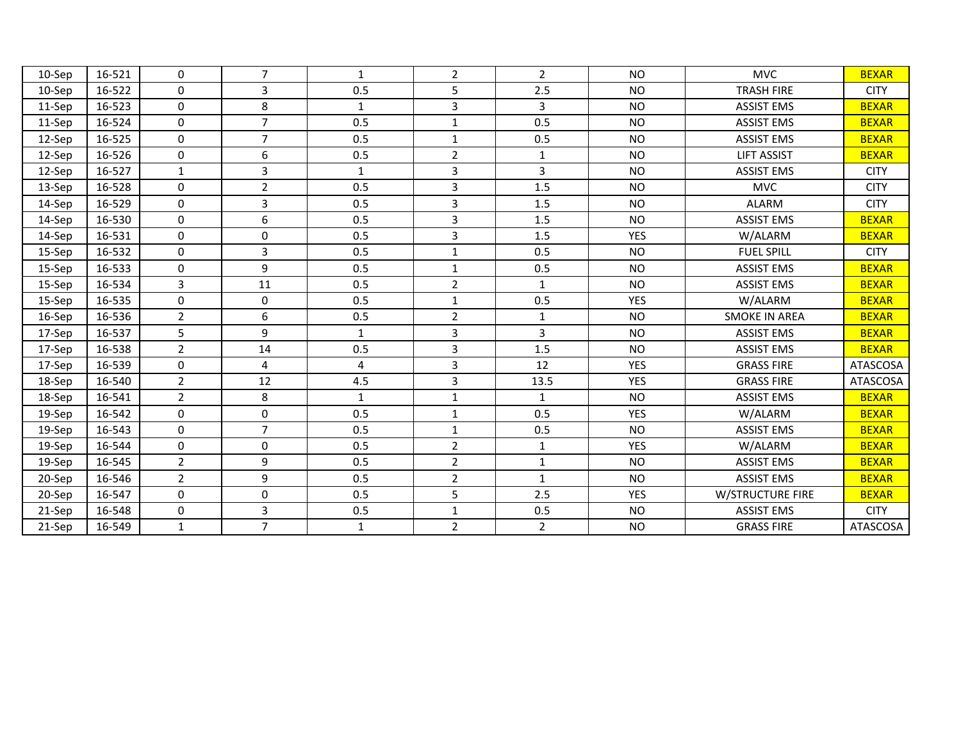| 10-Sep    | 16-521 | $\mathbf 0$    | $\overline{7}$ | 1            | $\overline{2}$ | $\overline{2}$ | <b>NO</b>  | <b>MVC</b>              | <b>BEXAR</b>    |
|-----------|--------|----------------|----------------|--------------|----------------|----------------|------------|-------------------------|-----------------|
| $10-$ Sep | 16-522 | 0              | 3              | 0.5          | 5              | 2.5            | <b>NO</b>  | <b>TRASH FIRE</b>       | <b>CITY</b>     |
| 11-Sep    | 16-523 | $\mathbf{0}$   | 8              | $\mathbf{1}$ | 3              | 3              | <b>NO</b>  | <b>ASSIST EMS</b>       | <b>BEXAR</b>    |
| 11-Sep    | 16-524 | $\mathbf 0$    | $\overline{7}$ | 0.5          | $\mathbf{1}$   | 0.5            | <b>NO</b>  | <b>ASSIST EMS</b>       | <b>BEXAR</b>    |
| 12-Sep    | 16-525 | $\mathbf{0}$   | $\overline{7}$ | 0.5          | $\mathbf{1}$   | 0.5            | <b>NO</b>  | <b>ASSIST EMS</b>       | <b>BEXAR</b>    |
| $12-$ Sep | 16-526 | $\mathbf 0$    | 6              | 0.5          | $\overline{2}$ | $\mathbf{1}$   | <b>NO</b>  | <b>LIFT ASSIST</b>      | <b>BEXAR</b>    |
| 12-Sep    | 16-527 | $\mathbf{1}$   | $\overline{3}$ | $\mathbf{1}$ | 3              | 3              | <b>NO</b>  | <b>ASSIST EMS</b>       | <b>CITY</b>     |
| 13-Sep    | 16-528 | $\mathbf 0$    | $\overline{2}$ | 0.5          | 3              | 1.5            | <b>NO</b>  | <b>MVC</b>              | <b>CITY</b>     |
| 14-Sep    | 16-529 | $\mathbf 0$    | 3              | 0.5          | $\overline{3}$ | 1.5            | <b>NO</b>  | <b>ALARM</b>            | <b>CITY</b>     |
| 14-Sep    | 16-530 | $\mathbf 0$    | 6              | 0.5          | 3              | 1.5            | <b>NO</b>  | <b>ASSIST EMS</b>       | <b>BEXAR</b>    |
| 14-Sep    | 16-531 | $\mathbf 0$    | 0              | 0.5          | 3              | 1.5            | <b>YES</b> | W/ALARM                 | <b>BEXAR</b>    |
| 15-Sep    | 16-532 | $\mathbf{0}$   | 3              | 0.5          | $\mathbf{1}$   | 0.5            | <b>NO</b>  | <b>FUEL SPILL</b>       | <b>CITY</b>     |
| 15-Sep    | 16-533 | $\mathbf 0$    | 9              | 0.5          | $\mathbf{1}$   | 0.5            | <b>NO</b>  | <b>ASSIST EMS</b>       | <b>BEXAR</b>    |
| 15-Sep    | 16-534 | 3              | 11             | 0.5          | $\overline{2}$ | $\mathbf{1}$   | <b>NO</b>  | <b>ASSIST EMS</b>       | <b>BEXAR</b>    |
| 15-Sep    | 16-535 | $\mathbf 0$    | 0              | 0.5          | $\mathbf{1}$   | 0.5            | <b>YES</b> | W/ALARM                 | <b>BEXAR</b>    |
| 16-Sep    | 16-536 | $\overline{2}$ | 6              | 0.5          | $\overline{2}$ | $\mathbf{1}$   | <b>NO</b>  | <b>SMOKE IN AREA</b>    | <b>BEXAR</b>    |
| 17-Sep    | 16-537 | 5              | 9              | $\mathbf{1}$ | 3              | 3              | <b>NO</b>  | <b>ASSIST EMS</b>       | <b>BEXAR</b>    |
| 17-Sep    | 16-538 | $\overline{2}$ | 14             | 0.5          | 3              | 1.5            | <b>NO</b>  | <b>ASSIST EMS</b>       | <b>BEXAR</b>    |
| 17-Sep    | 16-539 | $\mathbf 0$    | 4              | 4            | 3              | 12             | <b>YES</b> | <b>GRASS FIRE</b>       | <b>ATASCOSA</b> |
| 18-Sep    | 16-540 | $\overline{2}$ | 12             | 4.5          | 3              | 13.5           | <b>YES</b> | <b>GRASS FIRE</b>       | <b>ATASCOSA</b> |
| 18-Sep    | 16-541 | $\overline{2}$ | 8              | $\mathbf{1}$ | $\mathbf{1}$   | $\mathbf{1}$   | <b>NO</b>  | <b>ASSIST EMS</b>       | <b>BEXAR</b>    |
| 19-Sep    | 16-542 | $\mathbf{0}$   | 0              | 0.5          | $\mathbf{1}$   | 0.5            | <b>YES</b> | W/ALARM                 | <b>BEXAR</b>    |
| 19-Sep    | 16-543 | $\mathbf 0$    | $\overline{7}$ | 0.5          | $\mathbf{1}$   | 0.5            | <b>NO</b>  | <b>ASSIST EMS</b>       | <b>BEXAR</b>    |
| 19-Sep    | 16-544 | $\mathbf{0}$   | 0              | 0.5          | $\overline{2}$ | $\mathbf{1}$   | <b>YES</b> | W/ALARM                 | <b>BEXAR</b>    |
| 19-Sep    | 16-545 | $\overline{2}$ | 9              | 0.5          | $\overline{2}$ | $\mathbf{1}$   | <b>NO</b>  | <b>ASSIST EMS</b>       | <b>BEXAR</b>    |
| 20-Sep    | 16-546 | $\overline{2}$ | 9              | 0.5          | $\overline{2}$ | $\mathbf{1}$   | <b>NO</b>  | <b>ASSIST EMS</b>       | <b>BEXAR</b>    |
| 20-Sep    | 16-547 | $\mathbf{0}$   | $\mathbf 0$    | 0.5          | 5              | 2.5            | <b>YES</b> | <b>W/STRUCTURE FIRE</b> | <b>BEXAR</b>    |
| 21-Sep    | 16-548 | 0              | 3              | 0.5          | $\mathbf{1}$   | 0.5            | <b>NO</b>  | <b>ASSIST EMS</b>       | <b>CITY</b>     |
| 21-Sep    | 16-549 | $\mathbf{1}$   | $\overline{7}$ | $\mathbf{1}$ | $\overline{2}$ | $\overline{2}$ | <b>NO</b>  | <b>GRASS FIRE</b>       | ATASCOSA        |